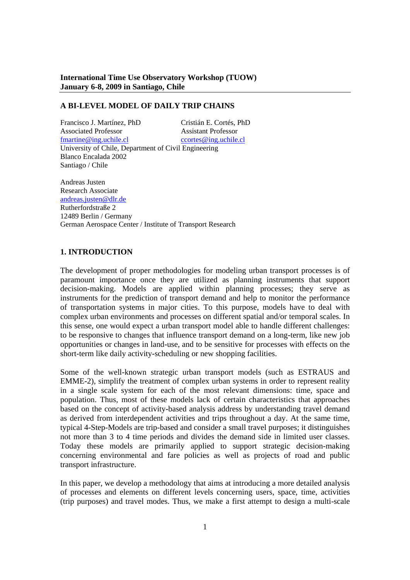**International Time Use Observatory Workshop (TUOW) January 6-8, 2009 in Santiago, Chile** 

## **A BI-LEVEL MODEL OF DAILY TRIP CHAINS**

Francisco J. Martínez, PhD Cristián E. Cortés, PhD Associated Professor Assistant Professor fmartine@ing.uchile.cl ccortes@ing.uchile.cl University of Chile, Department of Civil Engineering Blanco Encalada 2002 Santiago / Chile

Andreas Justen Research Associate andreas.justen@dlr.de Rutherfordstraße 2 12489 Berlin / Germany German Aerospace Center / Institute of Transport Research

## **1. INTRODUCTION**

The development of proper methodologies for modeling urban transport processes is of paramount importance once they are utilized as planning instruments that support decision-making. Models are applied within planning processes; they serve as instruments for the prediction of transport demand and help to monitor the performance of transportation systems in major cities. To this purpose, models have to deal with complex urban environments and processes on different spatial and/or temporal scales. In this sense, one would expect a urban transport model able to handle different challenges: to be responsive to changes that influence transport demand on a long-term, like new job opportunities or changes in land-use, and to be sensitive for processes with effects on the short-term like daily activity-scheduling or new shopping facilities.

Some of the well-known strategic urban transport models (such as ESTRAUS and EMME-2), simplify the treatment of complex urban systems in order to represent reality in a single scale system for each of the most relevant dimensions: time, space and population. Thus, most of these models lack of certain characteristics that approaches based on the concept of activity-based analysis address by understanding travel demand as derived from interdependent activities and trips throughout a day. At the same time, typical 4-Step-Models are trip-based and consider a small travel purposes; it distinguishes not more than 3 to 4 time periods and divides the demand side in limited user classes. Today these models are primarily applied to support strategic decision-making concerning environmental and fare policies as well as projects of road and public transport infrastructure.

In this paper, we develop a methodology that aims at introducing a more detailed analysis of processes and elements on different levels concerning users, space, time, activities (trip purposes) and travel modes. Thus, we make a first attempt to design a multi-scale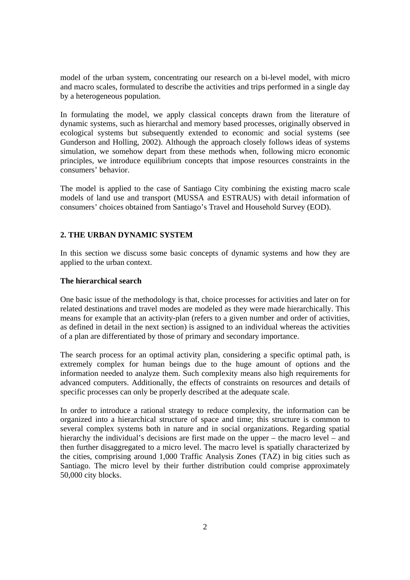model of the urban system, concentrating our research on a bi-level model, with micro and macro scales, formulated to describe the activities and trips performed in a single day by a heterogeneous population.

In formulating the model, we apply classical concepts drawn from the literature of dynamic systems, such as hierarchal and memory based processes, originally observed in ecological systems but subsequently extended to economic and social systems (see Gunderson and Holling, 2002). Although the approach closely follows ideas of systems simulation, we somehow depart from these methods when, following micro economic principles, we introduce equilibrium concepts that impose resources constraints in the consumers' behavior.

The model is applied to the case of Santiago City combining the existing macro scale models of land use and transport (MUSSA and ESTRAUS) with detail information of consumers' choices obtained from Santiago's Travel and Household Survey (EOD).

# **2. THE URBAN DYNAMIC SYSTEM**

In this section we discuss some basic concepts of dynamic systems and how they are applied to the urban context.

# **The hierarchical search**

One basic issue of the methodology is that, choice processes for activities and later on for related destinations and travel modes are modeled as they were made hierarchically. This means for example that an activity-plan (refers to a given number and order of activities, as defined in detail in the next section) is assigned to an individual whereas the activities of a plan are differentiated by those of primary and secondary importance.

The search process for an optimal activity plan, considering a specific optimal path, is extremely complex for human beings due to the huge amount of options and the information needed to analyze them. Such complexity means also high requirements for advanced computers. Additionally, the effects of constraints on resources and details of specific processes can only be properly described at the adequate scale.

In order to introduce a rational strategy to reduce complexity, the information can be organized into a hierarchical structure of space and time; this structure is common to several complex systems both in nature and in social organizations. Regarding spatial hierarchy the individual's decisions are first made on the upper – the macro level – and then further disaggregated to a micro level. The macro level is spatially characterized by the cities, comprising around 1,000 Traffic Analysis Zones (TAZ) in big cities such as Santiago. The micro level by their further distribution could comprise approximately 50,000 city blocks.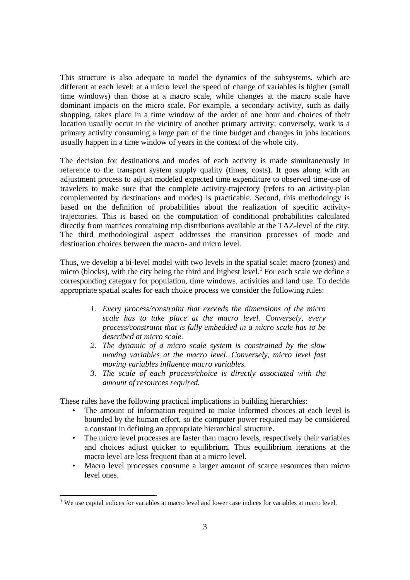This structure is also adequate to model the dynamics of the subsystems, which are different at each level: at a micro level the speed of change of variables is higher (small time windows) than those at a macro scale, while changes at the macro scale have dominant impacts on the micro scale. For example, a secondary activity, such as daily shopping, takes place in a time window of the order of one hour and choices of their location usually occur in the vicinity of another primary activity; conversely, work is a primary activity consuming a large part of the time budget and changes in jobs locations usually happen in a time window of years in the context of the whole city.

The decision for destinations and modes of each activity is made simultaneously in reference to the transport system supply quality (times, costs). It goes along with an adjustment process to adjust modeled expected time expenditure to observed time-use of travelers to make sure that the complete activity-trajectory (refers to an activity-plan complemented by destinations and modes) is practicable. Second, this methodology is based on the definition of probabilities about the realization of specific activitytrajectories. This is based on the computation of conditional probabilities calculated directly from matrices containing trip distributions available at the TAZ-level of the city. The third methodological aspect addresses the transition processes of mode and destination choices between the macro- and micro level.

Thus, we develop a bi-level model with two levels in the spatial scale: macro (zones) and micro (blocks), with the city being the third and highest level.<sup>1</sup> For each scale we define a corresponding category for population, time windows, activities and land use. To decide appropriate spatial scales for each choice process we consider the following rules:

- *1. Every process/constraint that exceeds the dimensions of the micro scale has to take place at the macro level. Conversely, every process/constraint that is fully embedded in a micro scale has to be described at micro scale.*
- *2. The dynamic of a micro scale system is constrained by the slow moving variables at the macro level. Conversely, micro level fast moving variables influence macro variables.*
- *3. The scale of each process/choice is directly associated with the amount of resources required.*

These rules have the following practical implications in building hierarchies:

- The amount of information required to make informed choices at each level is bounded by the human effort, so the computer power required may be considered a constant in defining an appropriate hierarchical structure.
- The micro level processes are faster than macro levels, respectively their variables and choices adjust quicker to equilibrium. Thus equilibrium iterations at the macro level are less frequent than at a micro level.
- Macro level processes consume a larger amount of scarce resources than micro level ones.

 $\overline{a}$ 

 $<sup>1</sup>$  We use capital indices for variables at macro level and lower case indices for variables at micro level.</sup>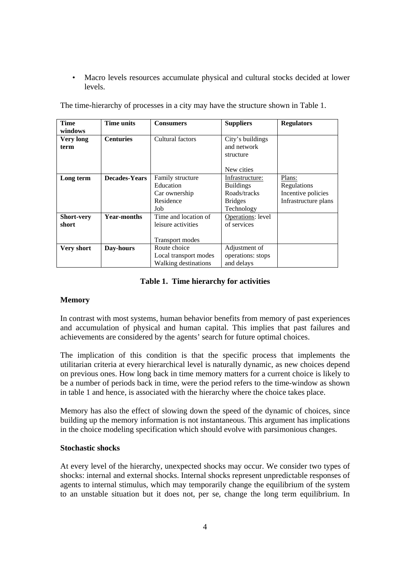• Macro levels resources accumulate physical and cultural stocks decided at lower levels.

| <b>Time</b>       | Time units           | <b>Consumers</b>       | <b>Suppliers</b>  | <b>Regulators</b>    |
|-------------------|----------------------|------------------------|-------------------|----------------------|
| windows           |                      |                        |                   |                      |
| Very long         | <b>Centuries</b>     | Cultural factors       | City's buildings  |                      |
| term              |                      |                        | and network       |                      |
|                   |                      |                        | structure         |                      |
|                   |                      |                        |                   |                      |
|                   |                      |                        | New cities        |                      |
| Long term         | <b>Decades-Years</b> | Family structure       | Infrastructure:   | Plans:               |
|                   |                      | Education              | <b>Buildings</b>  | Regulations          |
|                   |                      | Car ownership          | Roads/tracks      | Incentive policies   |
|                   |                      | Residence              | <b>Bridges</b>    | Infrastructure plans |
|                   |                      | Job                    | Technology        |                      |
| <b>Short-very</b> | <b>Year-months</b>   | Time and location of   | Operations: level |                      |
| short             |                      | leisure activities     | of services       |                      |
|                   |                      |                        |                   |                      |
|                   |                      | <b>Transport modes</b> |                   |                      |
| <b>Very short</b> | Day-hours            | Route choice           | Adjustment of     |                      |
|                   |                      | Local transport modes  | operations: stops |                      |
|                   |                      | Walking destinations   | and delays        |                      |

The time-hierarchy of processes in a city may have the structure shown in Table 1.

# **Table 1. Time hierarchy for activities**

## **Memory**

In contrast with most systems, human behavior benefits from memory of past experiences and accumulation of physical and human capital. This implies that past failures and achievements are considered by the agents' search for future optimal choices.

The implication of this condition is that the specific process that implements the utilitarian criteria at every hierarchical level is naturally dynamic, as new choices depend on previous ones. How long back in time memory matters for a current choice is likely to be a number of periods back in time, were the period refers to the time-window as shown in table 1 and hence, is associated with the hierarchy where the choice takes place.

Memory has also the effect of slowing down the speed of the dynamic of choices, since building up the memory information is not instantaneous. This argument has implications in the choice modeling specification which should evolve with parsimonious changes.

## **Stochastic shocks**

At every level of the hierarchy, unexpected shocks may occur. We consider two types of shocks: internal and external shocks. Internal shocks represent unpredictable responses of agents to internal stimulus, which may temporarily change the equilibrium of the system to an unstable situation but it does not, per se, change the long term equilibrium. In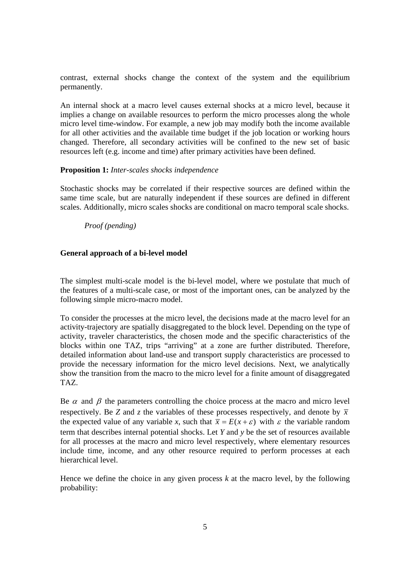contrast, external shocks change the context of the system and the equilibrium permanently.

An internal shock at a macro level causes external shocks at a micro level, because it implies a change on available resources to perform the micro processes along the whole micro level time-window. For example, a new job may modify both the income available for all other activities and the available time budget if the job location or working hours changed. Therefore, all secondary activities will be confined to the new set of basic resources left (e.g. income and time) after primary activities have been defined.

### **Proposition 1:** *Inter-scales shocks independence*

Stochastic shocks may be correlated if their respective sources are defined within the same time scale, but are naturally independent if these sources are defined in different scales. Additionally, micro scales shocks are conditional on macro temporal scale shocks.

### *Proof (pending)*

### **General approach of a bi-level model**

The simplest multi-scale model is the bi-level model, where we postulate that much of the features of a multi-scale case, or most of the important ones, can be analyzed by the following simple micro-macro model.

To consider the processes at the micro level, the decisions made at the macro level for an activity-trajectory are spatially disaggregated to the block level. Depending on the type of activity, traveler characteristics, the chosen mode and the specific characteristics of the blocks within one TAZ, trips "arriving" at a zone are further distributed. Therefore, detailed information about land-use and transport supply characteristics are processed to provide the necessary information for the micro level decisions. Next, we analytically show the transition from the macro to the micro level for a finite amount of disaggregated TAZ.

Be  $\alpha$  and  $\beta$  the parameters controlling the choice process at the macro and micro level respectively. Be *Z* and *z* the variables of these processes respectively, and denote by  $\bar{x}$ the expected value of any variable *x*, such that  $\bar{x} = E(x + \varepsilon)$  with  $\varepsilon$  the variable random term that describes internal potential shocks. Let *Y* and *y* be the set of resources available for all processes at the macro and micro level respectively, where elementary resources include time, income, and any other resource required to perform processes at each hierarchical level.

Hence we define the choice in any given process  $k$  at the macro level, by the following probability: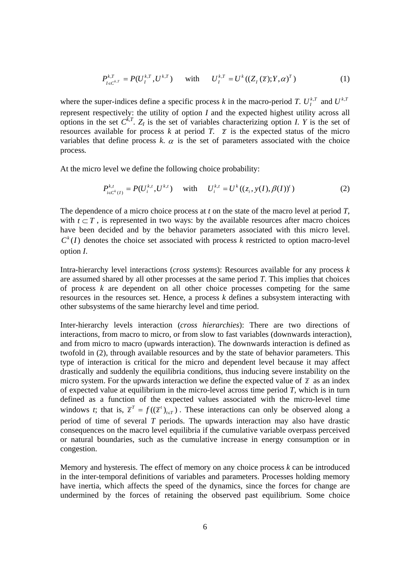$$
P_{I \in C^{k,T}}^{k,T} = P(U_I^{k,T}, U^{k,T}) \quad \text{with} \quad U_I^{k,T} = U^k((Z_I(\overline{z}); Y, \alpha)^T) \tag{1}
$$

where the super-indices define a specific process *k* in the macro-period *T*.  $U_t^{k,T}$  and  $U_{t}^{k,T}$ represent respectively: the utility of option *I* and the expected highest utility across all options in the set  $C^{k,T}$ .  $Z_I$  is the set of variables characterizing option *I*. *Y* is the set of resources available for process *k* at period *T.*  $\overline{z}$  is the expected status of the micro variables that define process  $k$ .  $\alpha$  is the set of parameters associated with the choice process*.* 

At the micro level we define the following choice probability:

$$
P_{i \in C^{k}(I)}^{k,t} = P(U_i^{k,t}, U^{k,t}) \quad \text{with} \quad U_i^{k,t} = U^{k}((z_i, y(I), \beta(I))^t) \tag{2}
$$

The dependence of a micro choice process at *t* on the state of the macro level at period *T*, with  $t \subset T$ , is represented in two ways: by the available resources after macro choices have been decided and by the behavior parameters associated with this micro level.  $C<sup>k</sup>(I)$  denotes the choice set associated with process k restricted to option macro-level option *I*.

Intra-hierarchy level interactions (*cross systems*): Resources available for any process *k* are assumed shared by all other processes at the same period *T*. This implies that choices of process *k* are dependent on all other choice processes competing for the same resources in the resources set. Hence, a process *k* defines a subsystem interacting with other subsystems of the same hierarchy level and time period.

Inter-hierarchy levels interaction (*cross hierarchies*): There are two directions of interactions, from macro to micro, or from slow to fast variables (downwards interaction), and from micro to macro (upwards interaction). The downwards interaction is defined as twofold in (2), through available resources and by the state of behavior parameters. This type of interaction is critical for the micro and dependent level because it may affect drastically and suddenly the equilibria conditions, thus inducing severe instability on the micro system. For the upwards interaction we define the expected value of  $\overline{z}$  as an index of expected value at equilibrium in the micro-level across time period *T,* which is in turn defined as a function of the expected values associated with the micro-level time windows *t*; that is,  $\overline{z}^T = f((\overline{z}^t)_{t \in T})$ . These interactions can only be observed along a period of time of several *T* periods. The upwards interaction may also have drastic consequences on the macro level equilibria if the cumulative variable overpass perceived or natural boundaries, such as the cumulative increase in energy consumption or in congestion.

Memory and hysteresis. The effect of memory on any choice process *k* can be introduced in the inter-temporal definitions of variables and parameters. Processes holding memory have inertia, which affects the speed of the dynamics, since the forces for change are undermined by the forces of retaining the observed past equilibrium. Some choice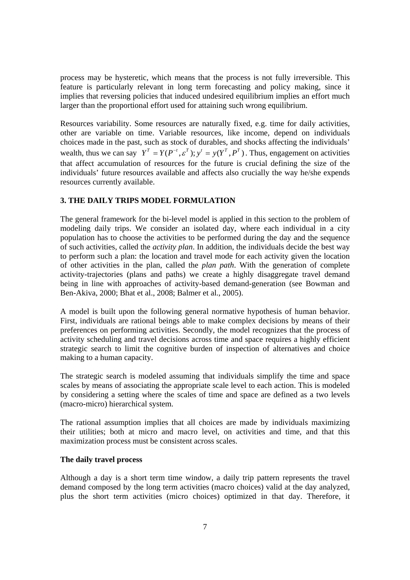process may be hysteretic, which means that the process is not fully irreversible. This feature is particularly relevant in long term forecasting and policy making, since it implies that reversing policies that induced undesired equilibrium implies an effort much larger than the proportional effort used for attaining such wrong equilibrium.

Resources variability. Some resources are naturally fixed, e.g. time for daily activities, other are variable on time. Variable resources, like income, depend on individuals choices made in the past, such as stock of durables, and shocks affecting the individuals' wealth, thus we can say  $Y^T = Y(P^{-t}, \varepsilon^T);$   $y' = y(Y^T, P^T)$ . Thus, engagement on activities that affect accumulation of resources for the future is crucial defining the size of the individuals' future resources available and affects also crucially the way he/she expends resources currently available.

# **3. THE DAILY TRIPS MODEL FORMULATION**

The general framework for the bi-level model is applied in this section to the problem of modeling daily trips. We consider an isolated day, where each individual in a city population has to choose the activities to be performed during the day and the sequence of such activities, called the *activity plan*. In addition, the individuals decide the best way to perform such a plan: the location and travel mode for each activity given the location of other activities in the plan, called the *plan path*. With the generation of complete activity-trajectories (plans and paths) we create a highly disaggregate travel demand being in line with approaches of activity-based demand-generation (see Bowman and Ben-Akiva, 2000; Bhat et al., 2008; Balmer et al., 2005).

A model is built upon the following general normative hypothesis of human behavior. First, individuals are rational beings able to make complex decisions by means of their preferences on performing activities. Secondly, the model recognizes that the process of activity scheduling and travel decisions across time and space requires a highly efficient strategic search to limit the cognitive burden of inspection of alternatives and choice making to a human capacity.

The strategic search is modeled assuming that individuals simplify the time and space scales by means of associating the appropriate scale level to each action. This is modeled by considering a setting where the scales of time and space are defined as a two levels (macro-micro) hierarchical system.

The rational assumption implies that all choices are made by individuals maximizing their utilities; both at micro and macro level, on activities and time, and that this maximization process must be consistent across scales.

#### **The daily travel process**

Although a day is a short term time window, a daily trip pattern represents the travel demand composed by the long term activities (macro choices) valid at the day analyzed, plus the short term activities (micro choices) optimized in that day. Therefore, it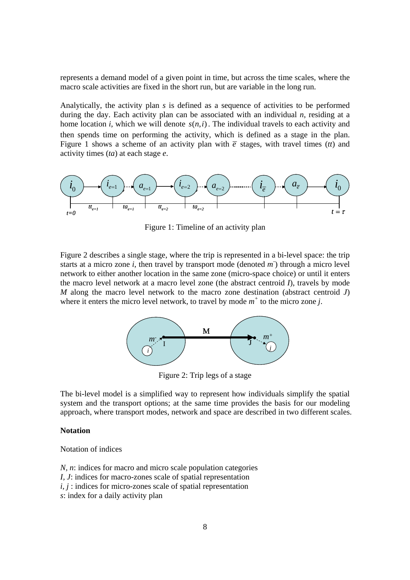represents a demand model of a given point in time, but across the time scales, where the macro scale activities are fixed in the short run, but are variable in the long run.

Analytically, the activity plan *s* is defined as a sequence of activities to be performed during the day. Each activity plan can be associated with an individual *n*, residing at a home location *i*, which we will denote  $s(n,i)$ . The individual travels to each activity and then spends time on performing the activity, which is defined as a stage in the plan. Figure 1 shows a scheme of an activity plan with  $\bar{e}$  stages, with travel times (*tt*) and activity times (*ta*) at each stage *e*.



Figure 1: Timeline of an activity plan

Figure 2 describes a single stage, where the trip is represented in a bi-level space: the trip starts at a micro zone *i*, then travel by transport mode (denoted  $m$ ) through a micro level network to either another location in the same zone (micro-space choice) or until it enters the macro level network at a macro level zone (the abstract centroid *I*), travels by mode *M* along the macro level network to the macro zone destination (abstract centroid *J*) where it enters the micro level network, to travel by mode  $m^+$  to the micro zone *j*.



Figure 2: Trip legs of a stage

The bi-level model is a simplified way to represent how individuals simplify the spatial system and the transport options; at the same time provides the basis for our modeling approach, where transport modes, network and space are described in two different scales.

#### **Notation**

Notation of indices

*N, n*: indices for macro and micro scale population categories *I, J*: indices for macro-zones scale of spatial representation *i, j* : indices for micro-zones scale of spatial representation *s*: index for a daily activity plan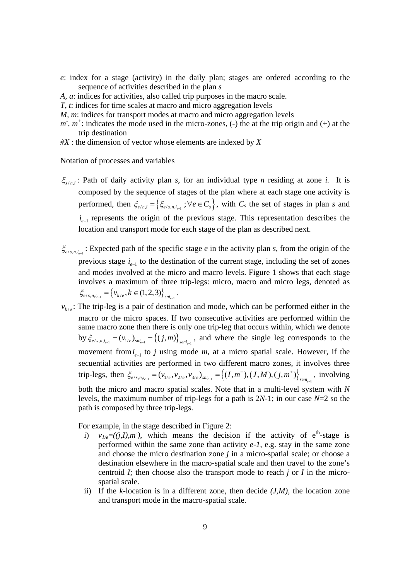- *e*: index for a stage (activity) in the daily plan; stages are ordered according to the sequence of activities described in the plan *s*
- *A, a*: indices for activities, also called trip purposes in the macro scale.
- *T, t*: indices for time scales at macro and micro aggregation levels
- *M, m*: indices for transport modes at macro and micro aggregation levels
- $m, m^+$ : indicates the mode used in the micro-zones, (-) the at the trip origin and (+) at the trip destination
- *#X* : the dimension of vector whose elements are indexed by *X*

Notation of processes and variables

- $\xi_{s(n)}$ : Path of daily activity plan *s*, for an individual type *n* residing at zone *i*. It is composed by the sequence of stages of the plan where at each stage one activity is performed, then  $\xi_{s/n,i} = \left\{ \xi_{e/s,n,i_{e-1}} \right\}$ ;  $\forall e \in C_s$ , with  $C_s$  the set of stages in plan *s* and  $i_{e-1}$  represents the origin of the previous stage. This representation describes the location and transport mode for each stage of the plan as described next.
- $\zeta_{e/s, n, i_{e-1}}$ : Expected path of the specific stage *e* in the activity plan *s*, from the origin of the previous stage  $i_{n-1}$  to the destination of the current stage, including the set of zones and modes involved at the micro and macro levels. Figure 1 shows that each stage involves a maximum of three trip-legs: micro, macro and micro legs, denoted as  ${\xi}_{e/s,n,i_{e-1}} = {\nu_{k/e}, k \in (1,2,3)}_{sn_{e-1}}$ .
- $v_{k/e}$ : The trip-leg is a pair of destination and mode, which can be performed either in the macro or the micro spaces. If two consecutive activities are performed within the same macro zone then there is only one trip-leg that occurs within, which we denote by  $\xi_{e/s,n,i_{e-1}} = (v_{1/e})_{sni_{e-1}} = \{(j,m)\}_{seni_{e-1}}$ , and where the single leg corresponds to the movement from  $i_{n-1}$  to *j* using mode *m*, at a micro spatial scale. However, if the secuential activities are performed in two different macro zones, it involves three trip-legs, then  $\xi_{e/s,n,i_{e-1}} = (v_{1/e}, v_{2/e}, v_{3/e})_{sni_{e-1}} = \{(I, m^{-}), (J, M), (j, m^{+})\}_{seni_{e-1}}$ , involving both the micro and macro spatial scales. Note that in a multi-level system with *N* levels, the maximum number of trip-legs for a path is 2*N*-1; in our case *N*=2 so the path is composed by three trip-legs.

For example, in the stage described in Figure 2:

- i)  $v_{1/e} = ((j, I), m)$ , which means the decision if the activity of e<sup>th</sup>-stage is performed within the same zone than activity *e-1*, e.g. stay in the same zone and choose the micro destination zone *j* in a micro-spatial scale; or choose a destination elsewhere in the macro-spatial scale and then travel to the zone's centroid *I;* then choose also the transport mode to reach *j* or *I* in the microspatial scale*.*
- ii) If the  $k$ -location is in a different zone, then decide  $(J, M)$ , the location zone and transport mode in the macro-spatial scale.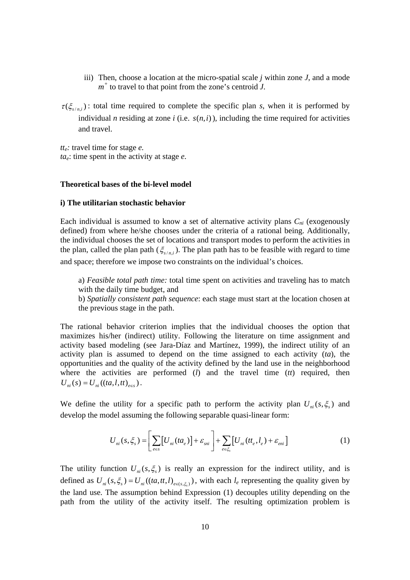- iii) Then, choose a location at the micro-spatial scale  $j$  within zone  $J$ , and a mode  $m<sup>+</sup>$  to travel to that point from the zone's centroid *J*.
- $\tau(\xi_{s(n)})$ : total time required to complete the specific plan *s*, when it is performed by individual *n* residing at zone *i* (i.e.  $s(n,i)$ ), including the time required for activities and travel.

*tte:* travel time for stage *e. tae*: time spent in the activity at stage *e.*

### **Theoretical bases of the bi-level model**

#### **i) The utilitarian stochastic behavior**

Each individual is assumed to know a set of alternative activity plans  $C_{ni}$  (exogenously defined) from where he/she chooses under the criteria of a rational being. Additionally, the individual chooses the set of locations and transport modes to perform the activities in the plan, called the plan path ( $\xi_{s/n,i}$ ). The plan path has to be feasible with regard to time and space; therefore we impose two constraints on the individual's choices.

a) *Feasible total path time:* total time spent on activities and traveling has to match with the daily time budget, and

b) *Spatially consistent path sequence*: each stage must start at the location chosen at the previous stage in the path.

The rational behavior criterion implies that the individual chooses the option that maximizes his/her (indirect) utility. Following the literature on time assignment and activity based modeling (see Jara-Díaz and Martínez, 1999), the indirect utility of an activity plan is assumed to depend on the time assigned to each activity (*ta*), the opportunities and the quality of the activity defined by the land use in the neighborhood where the activities are performed (*l*) and the travel time (*tt*) required, then  $U_{ni}(s) = U_{ni}((ta, l, tt)_{es})$ .

We define the utility for a specific path to perform the activity plan  $U_{ni}(s, \xi)$  and develop the model assuming the following separable quasi-linear form:

$$
U_{ni}(s,\xi_s) = \left[\sum_{e \in s} \left[U_{ni}(ta_e)\right] + \mathcal{E}_{sni}\right] + \sum_{e \in \xi_s} \left[U_{ni}(tt_e, l_e) + \mathcal{E}_{eni}\right]
$$
 (1)

The utility function  $U_{ni}(s, \xi)$  is really an expression for the indirect utility, and is defined as  $U_{ni}(s, \xi_s) = U_{ni}((ta, tt, l)_{ee(s, \xi_s)})$ , with each  $l_e$  representing the quality given by the land use. The assumption behind Expression (1) decouples utility depending on the path from the utility of the activity itself. The resulting optimization problem is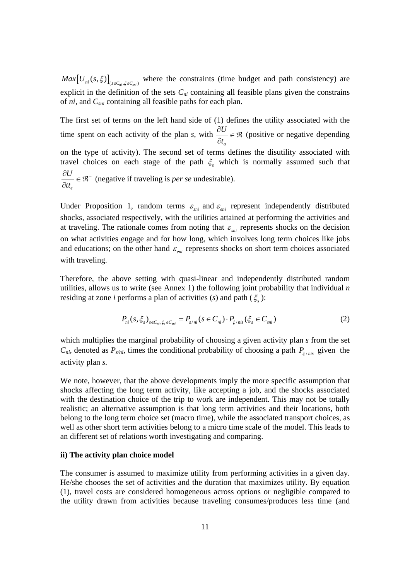$Max[U_{ni}(s,\xi)]_{c\in C, \xi\in C}$ , where the constraints (time budget and path consistency) are explicit in the definition of the sets  $C_{ni}$  containing all feasible plans given the constrains of *ni*, and *Csni* containing all feasible paths for each plan.

The first set of terms on the left hand side of (1) defines the utility associated with the time spent on each activity of the plan *s*, with *a U t*  $\frac{\partial U}{\partial t_a} \in \mathfrak{R}$  (positive or negative depending on the type of activity). The second set of terms defines the disutility associated with travel choices on each stage of the path  $\xi$ , which is normally assumed such that *e U tt*  $\frac{\partial U}{\partial t} \in \mathfrak{R}^-$  (negative if traveling is *per se* undesirable).

Under Proposition 1, random terms  $\varepsilon_{sni}$  and  $\varepsilon_{eni}$  represent independently distributed shocks*,* associated respectively, with the utilities attained at performing the activities and at traveling. The rationale comes from noting that  $\varepsilon_{\rm mi}$  represents shocks on the decision on what activities engage and for how long, which involves long term choices like jobs and educations; on the other hand  $\varepsilon_{eni}$  represents shocks on short term choices associated with traveling.

Therefore, the above setting with quasi-linear and independently distributed random utilities, allows us to write (see Annex 1) the following joint probability that individual *n* residing at zone *i* performs a plan of activities (*s*) and path ( $\xi$ ):

$$
P_{ni}(s, \xi_s)_{s \in C_{ni}, \xi_s \in C_{sni}} = P_{s/ni}(s \in C_{ni}) \cdot P_{\xi/ni(s)}(\xi_s \in C_{sni})
$$
\n(2)

which multiplies the marginal probability of choosing a given activity plan *s* from the set  $C_{ni}$ , denoted as  $P_{s/ni}$ , times the conditional probability of choosing a path  $P_{\xi/ni}$  given the activity plan *s.*

We note, however, that the above developments imply the more specific assumption that shocks affecting the long term activity, like accepting a job, and the shocks associated with the destination choice of the trip to work are independent. This may not be totally realistic; an alternative assumption is that long term activities and their locations, both belong to the long term choice set (macro time), while the associated transport choices, as well as other short term activities belong to a micro time scale of the model. This leads to an different set of relations worth investigating and comparing.

### **ii) The activity plan choice model**

The consumer is assumed to maximize utility from performing activities in a given day. He/she chooses the set of activities and the duration that maximizes utility. By equation (1), travel costs are considered homogeneous across options or negligible compared to the utility drawn from activities because traveling consumes/produces less time (and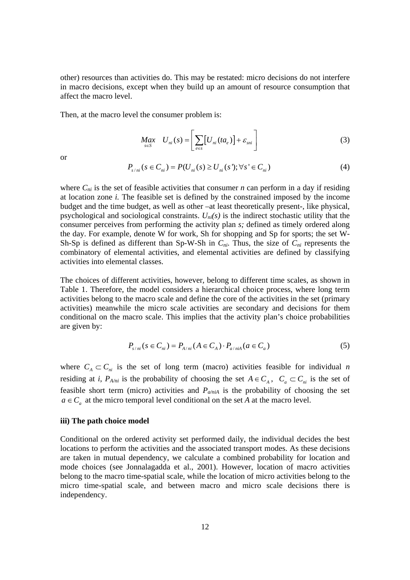other) resources than activities do. This may be restated: micro decisions do not interfere in macro decisions, except when they build up an amount of resource consumption that affect the macro level.

Then, at the macro level the consumer problem is:

$$
Max_{s \in S} U_{ni}(s) = \left[ \sum_{e \in S} \left[ U_{ni}(ta_e) \right] + \varepsilon_{sni} \right]
$$
 (3)

or

$$
P_{s/ni}(s \in C_{ni}) = P(U_{ni}(s) \ge U_{ni}(s'); \forall s' \in C_{ni})
$$
\n(4)

where  $C_{ni}$  is the set of feasible activities that consumer *n* can perform in a day if residing at location zone *i.* The feasible set is defined by the constrained imposed by the income budget and the time budget, as well as other –at least theoretically present-, like physical, psychological and sociological constraints. *Uni(s)* is the indirect stochastic utility that the consumer perceives from performing the activity plan *s;* defined as timely ordered along the day. For example, denote W for work, Sh for shopping and Sp for sports; the set W-Sh-Sp is defined as different than Sp-W-Sh in  $C_{ni}$ . Thus, the size of  $C_{ni}$  represents the combinatory of elemental activities, and elemental activities are defined by classifying activities into elemental classes.

The choices of different activities, however, belong to different time scales, as shown in Table 1. Therefore, the model considers a hierarchical choice process, where long term activities belong to the macro scale and define the core of the activities in the set (primary activities) meanwhile the micro scale activities are secondary and decisions for them conditional on the macro scale. This implies that the activity plan's choice probabilities are given by:

$$
P_{s/ni}(s \in C_{ni}) = P_{A/ni}(A \in C_A) \cdot P_{a/niA}(a \in C_a)
$$
 (5)

where  $C_A \subset C_{ni}$  is the set of long term (macro) activities feasible for individual *n* residing at *i*,  $P_{A/ni}$  is the probability of choosing the set  $A \in C_A$ ,  $C_a \subset C_{ni}$  is the set of feasible short term (micro) activities and  $P_{a/niA}$  is the probability of choosing the set  $a \in C_a$  at the micro temporal level conditional on the set *A* at the macro level.

#### **iii) The path choice model**

Conditional on the ordered activity set performed daily, the individual decides the best locations to perform the activities and the associated transport modes. As these decisions are taken in mutual dependency, we calculate a combined probability for location and mode choices (see Jonnalagadda et al., 2001). However, location of macro activities belong to the macro time-spatial scale, while the location of micro activities belong to the micro time-spatial scale, and between macro and micro scale decisions there is independency.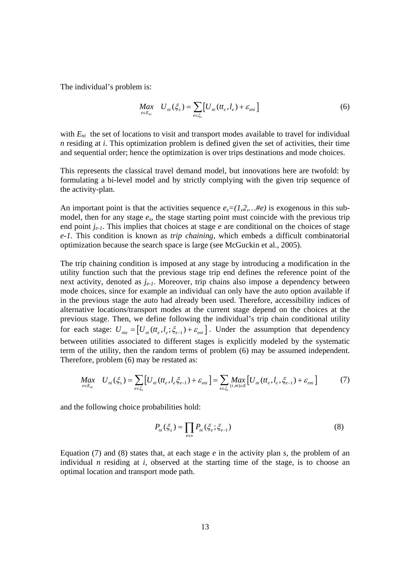The individual's problem is:

$$
\underset{e \in E_{ni}}{Max} \quad U_{ni}(\xi_s) = \sum_{e \in \xi_s} \left[ U_{ni}(t_t, l_e) + \varepsilon_{eni} \right] \tag{6}
$$

with  $E_{ni}$  the set of locations to visit and transport modes available to travel for individual *n* residing at *i*. This optimization problem is defined given the set of activities, their time and sequential order; hence the optimization is over trips destinations and mode choices.

This represents the classical travel demand model, but innovations here are twofold: by formulating a bi-level model and by strictly complying with the given trip sequence of the activity-plan.

An important point is that the activities sequence  $e_s = (1,2,...\#e)$  is exogenous in this submodel, then for any stage *es*, the stage starting point must coincide with the previous trip end point *je-1*. This implies that choices at stage *e* are conditional on the choices of stage *e-1.* This condition is known as *trip chaining*, which embeds a difficult combinatorial optimization because the search space is large (see McGuckin et al., 2005).

The trip chaining condition is imposed at any stage by introducing a modification in the utility function such that the previous stage trip end defines the reference point of the next activity, denoted as *je-1*. Moreover, trip chains also impose a dependency between mode choices, since for example an individual can only have the auto option available if in the previous stage the auto had already been used. Therefore, accessibility indices of alternative locations/transport modes at the current stage depend on the choices at the previous stage. Then, we define following the individual's trip chain conditional utility for each stage:  $U_{\eta i e} = [U_{\eta i}(t_{e}, l_{e}; \xi_{e-1}) + \varepsilon_{e n i}]$ . Under the assumption that dependency between utilities associated to different stages is explicitly modeled by the systematic term of the utility, then the random terms of problem (6) may be assumed independent. Therefore, problem (6) may be restated as:

$$
Max_{e \in E_{ni}} U_{ni}(\xi_s) = \sum_{e \in \xi_s} [U_{ni}(tt_e, l_e \xi_{e-1}) + \varepsilon_{eni}] = \sum_{e \in \xi_s} Max_{(i,m) \in E} [U_{ni}(tt_e, l_e, \xi_{e-1}) + \varepsilon_{eni}]
$$
(7)

and the following choice probabilities hold:

$$
P_{ni}(\xi_s) = \prod_{e \in s} P_{ni}(\xi_e; \xi_{e-1})
$$
\n(8)

Equation (7) and (8) states that, at each stage *e* in the activity plan *s*, the problem of an individual *n* residing at *i*, observed at the starting time of the stage, is to choose an optimal location and transport mode path.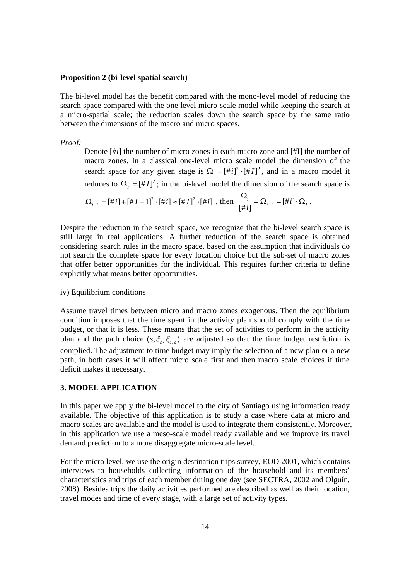#### **Proposition 2 (bi-level spatial search)**

The bi-level model has the benefit compared with the mono-level model of reducing the search space compared with the one level micro-scale model while keeping the search at a micro-spatial scale; the reduction scales down the search space by the same ratio between the dimensions of the macro and micro spaces.

*Proof:*

Denote [*#i*] the number of micro zones in each macro zone and [#I] the number of macro zones. In a classical one-level micro scale model the dimension of the search space for any given stage is  $\Omega_i = [\# i]^2 \cdot [\# I]^2$ , and in a macro model it reduces to  $\Omega_i = [H I]^2$ ; in the bi-level model the dimension of the search space is

$$
\Omega_{i-1} = [\#i] + [\#I - 1]^2 \cdot [\#i] \approx [\#I]^2 \cdot [\#i] \text{ , then } \frac{\Omega_i}{[\#i]} = \Omega_{i-1} = [\#i] \cdot \Omega_I \, .
$$

Despite the reduction in the search space, we recognize that the bi-level search space is still large in real applications. A further reduction of the search space is obtained considering search rules in the macro space, based on the assumption that individuals do not search the complete space for every location choice but the sub-set of macro zones that offer better opportunities for the individual. This requires further criteria to define explicitly what means better opportunities.

## iv) Equilibrium conditions

Assume travel times between micro and macro zones exogenous. Then the equilibrium condition imposes that the time spent in the activity plan should comply with the time budget, or that it is less. These means that the set of activities to perform in the activity plan and the path choice  $(s, \xi_s, \xi_{e/s})$  are adjusted so that the time budget restriction is complied. The adjustment to time budget may imply the selection of a new plan or a new path, in both cases it will affect micro scale first and then macro scale choices if time deficit makes it necessary.

## **3. MODEL APPLICATION**

In this paper we apply the bi-level model to the city of Santiago using information ready available. The objective of this application is to study a case where data at micro and macro scales are available and the model is used to integrate them consistently. Moreover, in this application we use a meso-scale model ready available and we improve its travel demand prediction to a more disaggregate micro-scale level.

For the micro level, we use the origin destination trips survey, EOD 2001, which contains interviews to households collecting information of the household and its members' characteristics and trips of each member during one day (see SECTRA, 2002 and Olguín, 2008). Besides trips the daily activities performed are described as well as their location, travel modes and time of every stage, with a large set of activity types.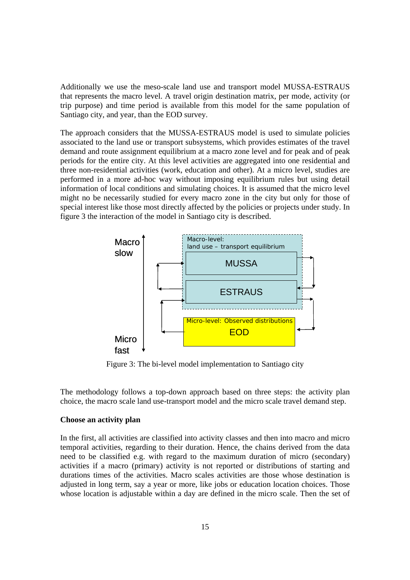Additionally we use the meso-scale land use and transport model MUSSA-ESTRAUS that represents the macro level. A travel origin destination matrix, per mode, activity (or trip purpose) and time period is available from this model for the same population of Santiago city, and year, than the EOD survey.

The approach considers that the MUSSA-ESTRAUS model is used to simulate policies associated to the land use or transport subsystems, which provides estimates of the travel demand and route assignment equilibrium at a macro zone level and for peak and of peak periods for the entire city. At this level activities are aggregated into one residential and three non-residential activities (work, education and other). At a micro level, studies are performed in a more ad-hoc way without imposing equilibrium rules but using detail information of local conditions and simulating choices. It is assumed that the micro level might no be necessarily studied for every macro zone in the city but only for those of special interest like those most directly affected by the policies or projects under study. In figure 3 the interaction of the model in Santiago city is described.



Figure 3: The bi-level model implementation to Santiago city

The methodology follows a top-down approach based on three steps: the activity plan choice, the macro scale land use-transport model and the micro scale travel demand step.

## **Choose an activity plan**

In the first, all activities are classified into activity classes and then into macro and micro temporal activities, regarding to their duration. Hence, the chains derived from the data need to be classified e.g. with regard to the maximum duration of micro (secondary) activities if a macro (primary) activity is not reported or distributions of starting and durations times of the activities. Macro scales activities are those whose destination is adjusted in long term, say a year or more, like jobs or education location choices. Those whose location is adjustable within a day are defined in the micro scale. Then the set of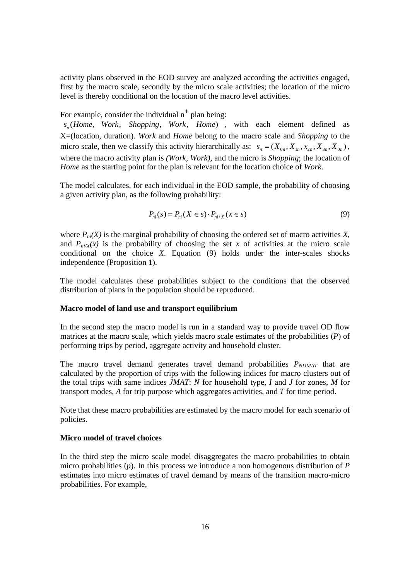activity plans observed in the EOD survey are analyzed according the activities engaged, first by the macro scale, secondly by the micro scale activities; the location of the micro level is thereby conditional on the location of the macro level activities.

For example, consider the individual  $n<sup>th</sup>$  plan being:

 $s_{n}$  (Home, Work, Shopping, Work, Home), with each element defined as X=(location, duration). *Work* and *Home* belong to the macro scale and *Shopping* to the micro scale, then we classify this activity hierarchically as:  $s_n = (X_{0n}, X_{1n}, X_{2n}, X_{3n}, X_{0n})$ , where the macro activity plan is *(Work, Work)*, and the micro is *Shopping*; the location of *Home* as the starting point for the plan is relevant for the location choice of *Work*.

The model calculates, for each individual in the EOD sample, the probability of choosing a given activity plan, as the following probability:

$$
P_{ni}(s) = P_{ni}(X \in s) \cdot P_{ni/X}(x \in s)
$$
\n<sup>(9)</sup>

where  $P_{ni}(X)$  is the marginal probability of choosing the ordered set of macro activities X, and  $P_{ni/}(x)$  is the probability of choosing the set x of activities at the micro scale conditional on the choice *X*. Equation (9) holds under the inter-scales shocks independence (Proposition 1).

The model calculates these probabilities subject to the conditions that the observed distribution of plans in the population should be reproduced.

### **Macro model of land use and transport equilibrium**

In the second step the macro model is run in a standard way to provide travel OD flow matrices at the macro scale, which yields macro scale estimates of the probabilities (*P*) of performing trips by period, aggregate activity and household cluster.

The macro travel demand generates travel demand probabilities  $P_{N I J M A T}$  that are calculated by the proportion of trips with the following indices for macro clusters out of the total trips with same indices *JMAT*: *N* for household type, *I* and *J* for zones, *M* for transport modes, *A* for trip purpose which aggregates activities, and *T* for time period.

Note that these macro probabilities are estimated by the macro model for each scenario of policies.

### **Micro model of travel choices**

In the third step the micro scale model disaggregates the macro probabilities to obtain micro probabilities (*p*). In this process we introduce a non homogenous distribution of *P* estimates into micro estimates of travel demand by means of the transition macro-micro probabilities. For example,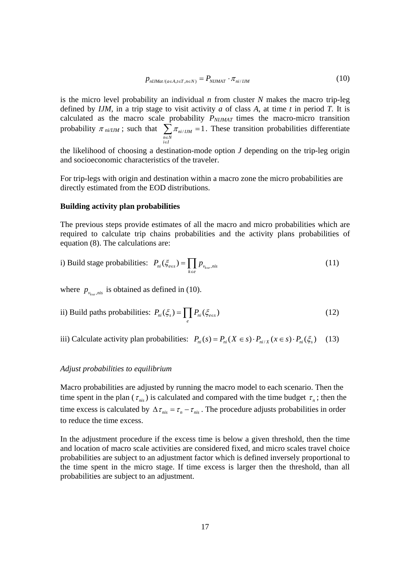$$
p_{nlJMat/(a\in A, t\in T, n\in N)} = P_{nlJMAT} \cdot \pi_{ni/IJM}
$$
\n(10)

is the micro level probability an individual *n* from cluster *N* makes the macro trip-leg defined by *IJM,* in a trip stage to visit activity *a* of class *A,* at time *t* in period *T.* It is calculated as the macro scale probability  $P_{N I J M A T}$  times the macro-micro transition probability  $\pi_{ni/IM}$ ; such that  $\sum \pi_{ni/IM} = 1$ *n*∈N<br>i∈I π ∈ ∈  $\sum \pi_{ni/IM} = 1$ . These transition probabilities differentiate

the likelihood of choosing a destination-mode option *J* depending on the trip-leg origin and socioeconomic characteristics of the traveler.

For trip-legs with origin and destination within a macro zone the micro probabilities are directly estimated from the EOD distributions.

#### **Building activity plan probabilities**

The previous steps provide estimates of all the macro and micro probabilities which are required to calculate trip chains probabilities and the activity plans probabilities of equation (8). The calculations are:

i) Build stage probabilities: 
$$
P_{ni}(\xi_{\text{ess}}) = \prod_{k \in e} p_{v_{\text{free}},ni}
$$
 (11)

where  $p_{y_{\text{re}}}, \text{nis obtained as defined in (10).}$ 

ii) Build paths probabilities: 
$$
P_{ni}(\xi_s) = \prod_e P_{ni}(\xi_{e\epsilon s})
$$
 (12)

iii) Calculate activity plan probabilities:  $P_{ni}(s) = P_{ni}(X \in s) \cdot P_{ni/X}(x \in s) \cdot P_{ni}(\xi_s)$  (13)

### *Adjust probabilities to equilibrium*

Macro probabilities are adjusted by running the macro model to each scenario. Then the time spent in the plan ( $\tau_{\text{mis}}$ ) is calculated and compared with the time budget  $\tau_{n}$ ; then the time excess is calculated by  $\Delta \tau_{nis} = \tau_n - \tau_{nis}$ . The procedure adjusts probabilities in order to reduce the time excess.

In the adjustment procedure if the excess time is below a given threshold, then the time and location of macro scale activities are considered fixed, and micro scales travel choice probabilities are subject to an adjustment factor which is defined inversely proportional to the time spent in the micro stage. If time excess is larger then the threshold, than all probabilities are subject to an adjustment.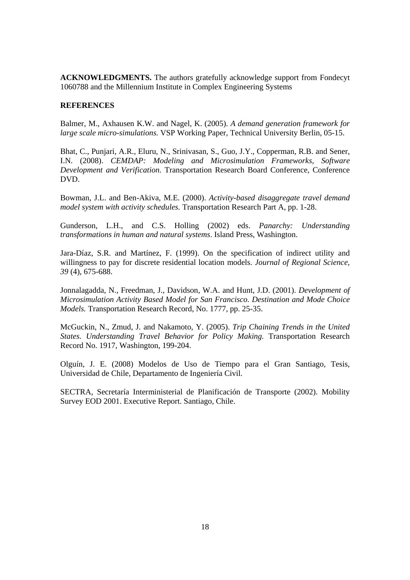**ACKNOWLEDGMENTS.** The authors gratefully acknowledge support from Fondecyt 1060788 and the Millennium Institute in Complex Engineering Systems

## **REFERENCES**

Balmer, M., Axhausen K.W. and Nagel, K. (2005). *A demand generation framework for large scale micro-simulations.* VSP Working Paper, Technical University Berlin, 05-15.

Bhat, C., Punjari, A.R., Eluru, N., Srinivasan, S., Guo, J.Y., Copperman, R.B. and Sener, I.N. (2008). *CEMDAP: Modeling and Microsimulation Frameworks, Software Development and Verification.* Transportation Research Board Conference, Conference DVD.

Bowman, J.L. and Ben-Akiva, M.E. (2000). *Activity-based disaggregate travel demand model system with activity schedules.* Transportation Research Part A, pp. 1-28.

Gunderson, L.H., and C.S. Holling (2002) eds. *Panarchy: Understanding transformations in human and natural systems*. Island Press, Washington.

Jara-Díaz, S.R. and Martínez, F. (1999). On the specification of indirect utility and willingness to pay for discrete residential location models. *Journal of Regional Science, 39* (4), 675-688.

Jonnalagadda, N., Freedman, J., Davidson, W.A. and Hunt, J.D. (2001). *Development of Microsimulation Activity Based Model for San Francisco. Destination and Mode Choice Models.* Transportation Research Record, No. 1777, pp. 25-35.

McGuckin, N., Zmud, J. and Nakamoto, Y. (2005). *Trip Chaining Trends in the United States. Understanding Travel Behavior for Policy Making.* Transportation Research Record No. 1917, Washington, 199-204.

Olguín, J. E. (2008) Modelos de Uso de Tiempo para el Gran Santiago, Tesis, Universidad de Chile, Departamento de Ingeniería Civil.

SECTRA, Secretaría Interministerial de Planificación de Transporte (2002). Mobility Survey EOD 2001. Executive Report. Santiago, Chile.